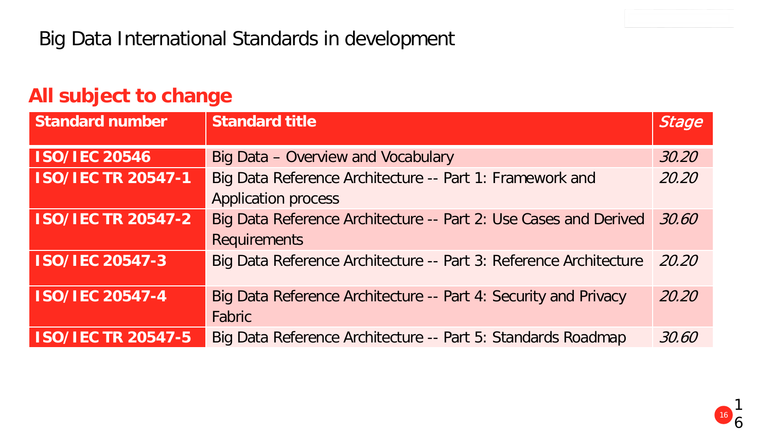### **All subject to change**

| <b>Standard number</b>    | <b>Standard title</b>                                                                   | <b>Stage</b> |
|---------------------------|-----------------------------------------------------------------------------------------|--------------|
| <b>ISO/IEC 20546</b>      | Big Data - Overview and Vocabulary                                                      | 30.20        |
| <b>ISO/IEC TR 20547-1</b> | Big Data Reference Architecture -- Part 1: Framework and<br><b>Application process</b>  | 20.20        |
| <b>ISO/IEC TR 20547-2</b> | Big Data Reference Architecture -- Part 2: Use Cases and Derived<br><b>Requirements</b> | 30.60        |
| <b>ISO/IEC 20547-3</b>    | Big Data Reference Architecture -- Part 3: Reference Architecture                       | 20.20        |
| <b>ISO/IEC 20547-4</b>    | Big Data Reference Architecture -- Part 4: Security and Privacy<br>Fabric               | 20.20        |
| <b>ISO/IEC TR 20547-5</b> | Big Data Reference Architecture -- Part 5: Standards Roadmap                            | 30.60        |

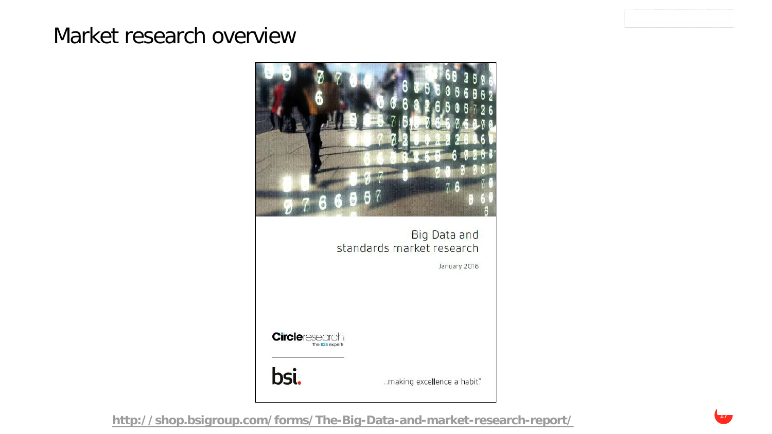## Market research overview

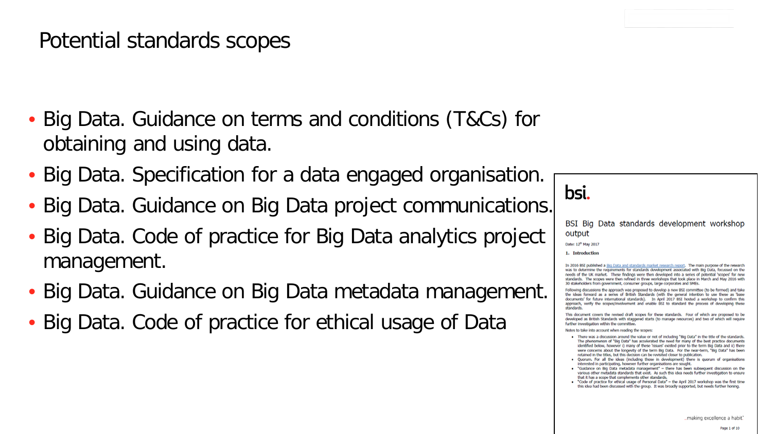## Potential standards scopes

- Big Data. Guidance on terms and conditions (T&Cs) for obtaining and using data.
- Big Data. Specification for a data engaged organisation.
- Big Data. Guidance on Big Data project communications.
- Big Data. Code of practice for Big Data analytics project management.
- Big Data. Guidance on Big Data metadata management.
- Big Data. Code of practice for ethical usage of Data

bsi.

BSI Big Data standards development workshop output

Date: 12<sup>th</sup> May 2017

1. Introduction

In 2016 BSI published a Big Data and standards market research report. The main purpose of the research was to determine the requirements for standards development associated with Big Data, focussed on the needs of the UK market. These findings were then developed into a series of potential 'scopes' for new standards. The scopes were then refined in three workshops that took place in March and May 2016 with 30 stakeholders from government, consumer groups, large corporates and SMEs.

Following discussions the approach was proposed to develop a new BSI committee (to be formed) and take the ideas forward as a series of British Standards (with the general intention to use these as 'base documents' for future international standards). In April 2017 BSI hosted a workshop to confirm this approach, verify the scopes/involvement and enable BSI to standard the process of developing these etandande

This document covers the revised draft scopes for these standards. Four of which are proposed to be developed as British Standards with staggered starts (to manage resources) and two of which will require further investigation within the committee.

Notes to take into account when reading the scopes:

- . There was a discussion around the value or not of including "Big Data" in the title of the standards. The phenomenon of "Big Data" has accelerated the need for many of the best practice documents identified below, however i) many of these 'issues' existed prior to the term Big Data and ii) there were concerns about the longevity of the term Big Data. For the near-term, "Big Data" has been retained in the titles, but this decision can be revisited closer to publication.
- · Quorum. For all the ideas (including those in development) there is quorum of organisations interested in participating, however further organisations are sought.
- "Guidance on Big Data metadata management" there has been subsequent discussion on the various other metadata standards that exist. As such this idea needs further investigation to ensure that it has a scope that complements other standards.
- . "Code of practice for ethical usage of Personal Data" the April 2017 workshop was the first time this idea had been discussed with the group. It was broadly supported, but needs further honing.

making excellence a habit.